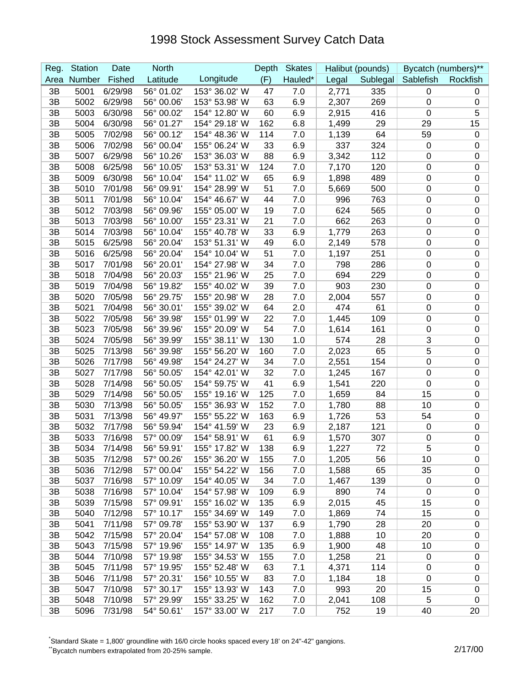| Reg. | <b>Station</b> | Date    | <b>North</b> |               | Depth | <b>Skates</b> |       | Halibut (pounds) |                    | Bycatch (numbers)** |
|------|----------------|---------|--------------|---------------|-------|---------------|-------|------------------|--------------------|---------------------|
| Area | Number         | Fished  | Latitude     | Longitude     | (F)   | Hauled*       | Legal |                  | Sublegal Sablefish | Rockfish            |
| 3B   | 5001           | 6/29/98 | 56° 01.02'   | 153° 36.02' W | 47    | 7.0           | 2,771 | 335              | 0                  | 0                   |
| 3B   | 5002           | 6/29/98 | 56° 00.06'   | 153° 53.98' W | 63    | 6.9           | 2,307 | 269              | 0                  | 0                   |
| 3B   | 5003           | 6/30/98 | 56° 00.02'   | 154° 12.80' W | 60    | 6.9           | 2,915 | 416              | $\mathbf 0$        | 5                   |
| 3B   | 5004           | 6/30/98 | 56° 01.27'   | 154° 29.18' W | 162   | 6.8           | 1,499 | 29               | 29                 | 15                  |
| 3B   | 5005           | 7/02/98 | 56° 00.12'   | 154° 48.36' W | 114   | 7.0           | 1,139 | 64               | 59                 | $\mathbf 0$         |
| 3B   | 5006           | 7/02/98 | 56° 00.04'   | 155° 06.24' W | 33    | 6.9           | 337   | 324              | $\mathbf 0$        | $\mathbf 0$         |
| 3B   | 5007           | 6/29/98 | 56° 10.26'   | 153° 36.03' W | 88    | 6.9           | 3,342 | 112              | 0                  | 0                   |
| 3B   | 5008           | 6/25/98 | 56° 10.05'   | 153° 53.31' W | 124   | 7.0           | 7,170 | 120              | $\mathbf 0$        | 0                   |
| 3B   | 5009           | 6/30/98 | 56° 10.04'   | 154° 11.02' W | 65    | 6.9           | 1,898 | 489              | $\boldsymbol{0}$   | $\pmb{0}$           |
| 3B   | 5010           | 7/01/98 | 56° 09.91'   | 154° 28.99' W | 51    | 7.0           | 5,669 | 500              | $\mathbf 0$        | $\mathbf 0$         |
| 3B   | 5011           | 7/01/98 | 56° 10.04'   | 154° 46.67' W | 44    | 7.0           | 996   | 763              | 0                  | $\pmb{0}$           |
| 3B   | 5012           | 7/03/98 | 56° 09.96'   | 155° 05.00' W | 19    | 7.0           | 624   | 565              | 0                  | $\pmb{0}$           |
| 3B   | 5013           | 7/03/98 | 56° 10.00'   | 155° 23.31' W | 21    | 7.0           | 662   | 263              | 0                  | $\mathbf 0$         |
| 3B   | 5014           | 7/03/98 | 56° 10.04'   | 155° 40.78' W | 33    | 6.9           | 1,779 | 263              | 0                  | 0                   |
| 3B   | 5015           | 6/25/98 | 56° 20.04'   | 153° 51.31' W | 49    | 6.0           | 2,149 | 578              | $\pmb{0}$          | $\pmb{0}$           |
| 3B   | 5016           | 6/25/98 | 56° 20.04'   | 154° 10.04' W | 51    | 7.0           | 1,197 | 251              | $\boldsymbol{0}$   | $\pmb{0}$           |
| 3B   | 5017           | 7/01/98 | 56° 20.01'   | 154° 27.98' W | 34    | 7.0           | 798   | 286              | $\boldsymbol{0}$   | 0                   |
| 3B   | 5018           | 7/04/98 | 56° 20.03'   | 155° 21.96' W | 25    | 7.0           | 694   | 229              | 0                  | $\pmb{0}$           |
| 3B   | 5019           | 7/04/98 | 56° 19.82'   | 155° 40.02' W | 39    | 7.0           | 903   | 230              | 0                  | $\mathbf 0$         |
| 3B   | 5020           | 7/05/98 | 56° 29.75'   | 155° 20.98' W | 28    | 7.0           | 2,004 | 557              | $\mathbf 0$        | 0                   |
| 3B   | 5021           | 7/04/98 | 56° 30.01'   | 155° 39.02' W | 64    | 2.0           | 474   | 61               | $\pmb{0}$          | $\boldsymbol{0}$    |
| 3B   | 5022           | 7/05/98 | 56° 39.98'   | 155° 01.99' W | 22    | 7.0           | 1,445 | 109              | $\mathbf 0$        | $\mathbf 0$         |
| 3B   | 5023           | 7/05/98 | 56° 39.96'   | 155° 20.09' W | 54    | 7.0           | 1,614 | 161              | $\mathbf 0$        | $\pmb{0}$           |
| 3B   | 5024           | 7/05/98 | 56° 39.99'   | 155° 38.11' W | 130   | 1.0           | 574   | 28               | 3                  | $\boldsymbol{0}$    |
| 3B   | 5025           | 7/13/98 | 56° 39.98'   | 155° 56.20' W | 160   | 7.0           | 2,023 | 65               | 5                  | $\mathbf 0$         |
| 3B   | 5026           | 7/17/98 | 56° 49.98'   | 154° 24.27' W | 34    | 7.0           | 2,551 | 154              | 0                  | 0                   |
| 3B   | 5027           | 7/17/98 | 56° 50.05'   | 154° 42.01' W | 32    | 7.0           | 1,245 | 167              | 0                  | 0                   |
| 3B   | 5028           | 7/14/98 | 56° 50.05'   | 154° 59.75' W | 41    | 6.9           | 1,541 | 220              | $\boldsymbol{0}$   | $\pmb{0}$           |
| 3B   | 5029           | 7/14/98 | 56° 50.05'   | 155° 19.16' W | 125   | 7.0           | 1,659 | 84               | 15                 | 0                   |
| 3B   | 5030           | 7/13/98 | 56° 50.05'   | 155° 36.93' W | 152   | 7.0           | 1,780 | 88               | 10                 | 0                   |
| 3B   | 5031           | 7/13/98 | 56° 49.97'   | 155° 55.22' W | 163   | 6.9           | 1,726 | 53               | 54                 | 0                   |
| 3B   | 5032           | 7/17/98 | 56° 59.94'   | 154° 41.59' W | 23    | 6.9           | 2,187 | 121              | $\mathbf 0$        | 0                   |
| 3B   | 5033           | 7/16/98 | 57° 00.09'   | 154° 58.91' W | 61    | 6.9           | 1,570 | 307              | $\mathbf 0$        | 0                   |
| 3B   | 5034           | 7/14/98 | 56° 59.91'   | 155° 17.82' W | 138   | 6.9           | 1,227 | 72               | 5                  | $\mathbf 0$         |
| 3B   | 5035           | 7/12/98 | 57° 00.26'   | 155° 36.20' W | 155   | 7.0           | 1,205 | 56               | 10                 | 0                   |
| 3B   | 5036           | 7/12/98 | 57° 00.04'   | 155° 54.22' W | 156   | 7.0           | 1,588 | 65               | 35                 | 0                   |
| 3B   | 5037           | 7/16/98 | 57° 10.09'   | 154° 40.05' W | 34    | 7.0           | 1,467 | 139              | 0                  | $\pmb{0}$           |
| 3B   | 5038           | 7/16/98 | 57° 10.04'   | 154° 57.98' W | 109   | 6.9           | 890   | 74               | 0                  | $\mathbf 0$         |
| 3B   | 5039           | 7/15/98 | 57° 09.91'   | 155° 16.02' W | 135   | 6.9           | 2,015 | 45               | 15                 | $\pmb{0}$           |
| 3B   | 5040           | 7/12/98 | 57° 10.17'   | 155° 34.69' W | 149   | 7.0           | 1,869 | 74               | 15                 | $\pmb{0}$           |
| 3B   | 5041           | 7/11/98 | 57° 09.78'   | 155° 53.90' W | 137   | 6.9           | 1,790 | 28               | 20                 | $\pmb{0}$           |
| 3B   | 5042           | 7/15/98 | 57° 20.04'   | 154° 57.08' W | 108   | 7.0           | 1,888 | 10               | 20                 | 0                   |
| 3B   | 5043           | 7/15/98 | 57° 19.96'   | 155° 14.97' W | 135   | 6.9           | 1,900 | 48               | 10                 | $\pmb{0}$           |
| 3B   | 5044           | 7/10/98 | 57° 19.98'   | 155° 34.53' W | 155   | 7.0           | 1,258 | 21               | $\mathbf 0$        | $\pmb{0}$           |
| 3B   | 5045           | 7/11/98 | 57° 19.95'   | 155° 52.48' W | 63    | 7.1           | 4,371 | 114              | 0                  | 0                   |
| 3B   | 5046           | 7/11/98 | 57° 20.31'   | 156° 10.55' W | 83    | 7.0           | 1,184 | 18               | $\mathbf 0$        | $\pmb{0}$           |
| 3B   | 5047           | 7/10/98 | 57° 30.17'   | 155° 13.93' W | 143   | 7.0           | 993   | 20               | 15                 | 0                   |
| 3B   | 5048           | 7/10/98 | 57° 29.99'   | 155° 33.25' W | 162   | 7.0           | 2,041 | 108              | 5                  | 0                   |
| 3B   | 5096           | 7/31/98 | 54° 50.61'   | 157° 33.00' W | 217   | 7.0           | 752   | 19               | 40                 | 20                  |

\* Standard Skate = 1,800' groundline with 16/0 circle hooks spaced every 18' on 24"-42" gangions.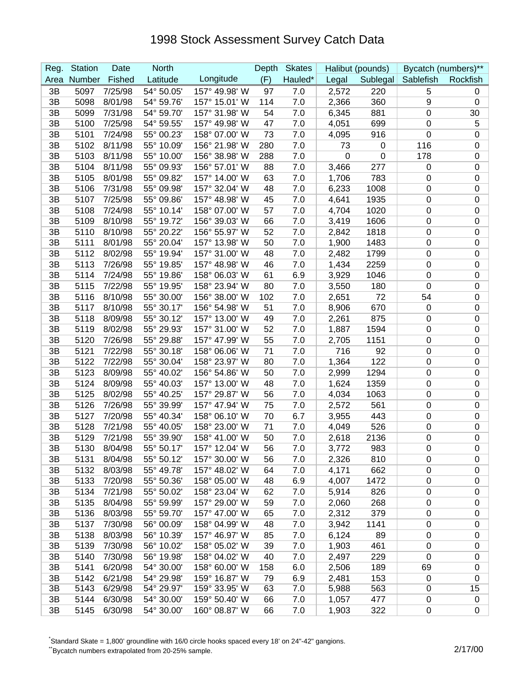| Reg. | <b>Station</b> | Date    | <b>North</b> |               | Depth | <b>Skates</b> |       | Halibut (pounds) |                    | Bycatch (numbers)** |
|------|----------------|---------|--------------|---------------|-------|---------------|-------|------------------|--------------------|---------------------|
| Area | Number         | Fished  | Latitude     | Longitude     | (F)   | Hauled*       | Legal |                  | Sublegal Sablefish | Rockfish            |
| 3B   | 5097           | 7/25/98 | 54° 50.05'   | 157° 49.98' W | 97    | 7.0           | 2,572 | 220              | 5                  | 0                   |
| 3B   | 5098           | 8/01/98 | 54° 59.76'   | 157° 15.01' W | 114   | 7.0           | 2,366 | 360              | 9                  | 0                   |
| 3B   | 5099           | 7/31/98 | 54° 59.70'   | 157° 31.98' W | 54    | 7.0           | 6,345 | 881              | 0                  | 30                  |
| 3B   | 5100           | 7/25/98 | 54° 59.55'   | 157° 49.98' W | 47    | 7.0           | 4,051 | 699              | 0                  | 5                   |
| 3B   | 5101           | 7/24/98 | 55° 00.23'   | 158° 07.00' W | 73    | 7.0           | 4,095 | 916              | 0                  | $\pmb{0}$           |
| 3B   | 5102           | 8/11/98 | 55° 10.09'   | 156° 21.98' W | 280   | 7.0           | 73    | 0                | 116                | $\mathbf 0$         |
| 3B   | 5103           | 8/11/98 | 55° 10.00'   | 156° 38.98' W | 288   | 7.0           | 0     | $\mathbf 0$      | 178                | $\mathbf 0$         |
| 3B   | 5104           | 8/11/98 | 55° 09.93'   | 156° 57.01' W | 88    | 7.0           | 3,466 | 277              | $\mathbf 0$        | $\mathbf 0$         |
| 3B   | 5105           | 8/01/98 | 55° 09.82'   | 157° 14.00' W | 63    | 7.0           | 1,706 | 783              | 0                  | $\mathbf 0$         |
| 3B   | 5106           | 7/31/98 | 55° 09.98'   | 157° 32.04' W | 48    | 7.0           | 6,233 | 1008             | 0                  | $\mathbf 0$         |
| 3B   | 5107           | 7/25/98 | 55° 09.86'   | 157° 48.98' W | 45    | 7.0           | 4,641 | 1935             | 0                  | $\pmb{0}$           |
| 3B   | 5108           | 7/24/98 | 55° 10.14'   | 158° 07.00' W | 57    | 7.0           | 4,704 | 1020             | 0                  | $\mathbf 0$         |
| 3B   | 5109           | 8/10/98 | 55° 19.72'   | 156° 39.03' W | 66    | 7.0           | 3,419 | 1606             | 0                  | $\mathbf 0$         |
| 3B   | 5110           | 8/10/98 | 55° 20.22'   | 156° 55.97' W | 52    | 7.0           | 2,842 | 1818             | 0                  | $\mathbf 0$         |
| 3B   | 5111           | 8/01/98 | 55° 20.04'   | 157° 13.98' W | 50    | 7.0           | 1,900 | 1483             | 0                  | $\pmb{0}$           |
| 3B   | 5112           | 8/02/98 | 55° 19.94'   | 157° 31.00' W | 48    | 7.0           | 2,482 | 1799             | 0                  | $\pmb{0}$           |
| 3B   | 5113           | 7/26/98 | 55° 19.85'   | 157° 48.98' W | 46    | 7.0           | 1,434 | 2259             | 0                  | $\pmb{0}$           |
| 3B   | 5114           | 7/24/98 | 55° 19.86'   | 158° 06.03' W | 61    | 6.9           | 3,929 | 1046             | 0                  | $\mathbf 0$         |
| 3B   | 5115           | 7/22/98 | 55° 19.95'   | 158° 23.94' W | 80    | 7.0           | 3,550 | 180              | $\mathbf 0$        | $\mathbf 0$         |
| 3B   | 5116           | 8/10/98 | 55° 30.00'   | 156° 38.00' W | 102   | 7.0           | 2,651 | 72               | 54                 | $\mathbf 0$         |
| 3B   | 5117           | 8/10/98 | 55° 30.17'   | 156° 54.98' W | 51    | 7.0           | 8,906 | 670              | $\mathbf 0$        | $\mathbf 0$         |
| 3B   | 5118           | 8/09/98 | 55° 30.12'   | 157° 13.00' W | 49    | 7.0           | 2,261 | 875              | $\mathbf 0$        | $\mathbf 0$         |
| 3B   | 5119           | 8/02/98 | 55° 29.93'   | 157° 31.00' W | 52    | 7.0           | 1,887 | 1594             | 0                  | $\mathbf 0$         |
| 3B   | 5120           | 7/26/98 | 55° 29.88'   | 157° 47.99' W | 55    | 7.0           | 2,705 | 1151             | $\mathbf 0$        | $\pmb{0}$           |
| 3B   | 5121           | 7/22/98 | 55° 30.18'   | 158° 06.06' W | 71    | 7.0           | 716   | 92               | 0                  | $\mathbf 0$         |
| 3B   | 5122           | 7/22/98 | 55° 30.04'   | 158° 23.97' W | 80    | 7.0           | 1,364 | 122              | 0                  | $\mathbf 0$         |
| 3B   | 5123           | 8/09/98 | 55° 40.02'   | 156° 54.86' W | 50    | 7.0           | 2,999 | 1294             | 0                  | $\mathbf 0$         |
| 3B   | 5124           | 8/09/98 | 55° 40.03'   | 157° 13.00' W | 48    | 7.0           | 1,624 | 1359             | 0                  | $\pmb{0}$           |
| 3B   | 5125           | 8/02/98 | 55° 40.25'   | 157° 29.87' W | 56    | 7.0           | 4,034 | 1063             | 0                  | $\pmb{0}$           |
| 3B   | 5126           | 7/26/98 | 55° 39.99'   | 157° 47.94' W | 75    | 7.0           | 2,572 | 561              | 0                  | $\pmb{0}$           |
| 3B   | 5127           | 7/20/98 | 55° 40.34'   | 158° 06.10' W | 70    | 6.7           | 3,955 | 443              | 0                  | $\mathbf 0$         |
| 3B   | 5128           | 7/21/98 | 55° 40.05'   | 158° 23.00' W | 71    | 7.0           | 4,049 | 526              | 0                  | $\mathbf 0$         |
| 3B   | 5129           | 7/21/98 | 55° 39.90'   | 158° 41.00' W | 50    | 7.0           | 2,618 | 2136             | 0                  | $\mathbf 0$         |
| 3B   | 5130           | 8/04/98 | 55° 50.17'   | 157° 12.04' W | 56    | 7.0           | 3,772 | 983              | 0                  | $\Omega$            |
| 3B   | 5131           | 8/04/98 | 55° 50.12'   | 157° 30.00' W | 56    | 7.0           | 2,326 | 810              | 0                  | 0                   |
| 3B   | 5132           | 8/03/98 | 55° 49.78'   | 157° 48.02' W | 64    | 7.0           | 4,171 | 662              | 0                  | 0                   |
| 3B   | 5133           | 7/20/98 | 55° 50.36'   | 158° 05.00' W | 48    | 6.9           | 4,007 | 1472             | 0                  | $\pmb{0}$           |
| 3B   | 5134           | 7/21/98 | 55° 50.02'   | 158° 23.04' W | 62    | 7.0           | 5,914 | 826              | 0                  | $\pmb{0}$           |
| 3B   | 5135           | 8/04/98 | 55° 59.99'   | 157° 29.00' W | 59    | 7.0           | 2,060 | 268              | 0                  | $\pmb{0}$           |
| 3B   | 5136           | 8/03/98 | 55° 59.70'   | 157° 47.00' W | 65    | 7.0           | 2,312 | 379              | 0                  | $\pmb{0}$           |
| 3B   | 5137           | 7/30/98 | 56° 00.09'   | 158° 04.99' W | 48    | 7.0           | 3,942 | 1141             | 0                  | $\pmb{0}$           |
| 3B   | 5138           | 8/03/98 | 56° 10.39'   | 157° 46.97' W | 85    | 7.0           | 6,124 | 89               | 0                  | 0                   |
| 3B   | 5139           | 7/30/98 | 56° 10.02'   | 158° 05.02' W | 39    | 7.0           | 1,903 | 461              | $\boldsymbol{0}$   | $\pmb{0}$           |
| 3B   | 5140           | 7/30/98 | 56° 19.98'   | 158° 04.02' W | 40    | 7.0           | 2,497 | 229              | $\mathbf 0$        | 0                   |
| 3B   | 5141           | 6/20/98 | 54° 30.00'   | 158° 60.00' W | 158   | 6.0           | 2,506 | 189              | 69                 | 0                   |
| 3B   | 5142           | 6/21/98 | 54° 29.98'   | 159° 16.87' W | 79    | 6.9           | 2,481 | 153              | $\mathbf 0$        | 0                   |
| 3B   | 5143           | 6/29/98 | 54° 29.97'   | 159° 33.95' W | 63    | 7.0           | 5,988 | 563              | 0                  | 15                  |
| 3B   | 5144           | 6/30/98 | 54° 30.00'   | 159° 50.40' W | 66    | 7.0           | 1,057 | 477              | 0                  | $\mathbf 0$         |
| 3B   | 5145           | 6/30/98 | 54° 30.00'   | 160° 08.87' W | 66    | 7.0           | 1,903 | 322              | 0                  | 0                   |

\* Standard Skate = 1,800' groundline with 16/0 circle hooks spaced every 18' on 24"-42" gangions.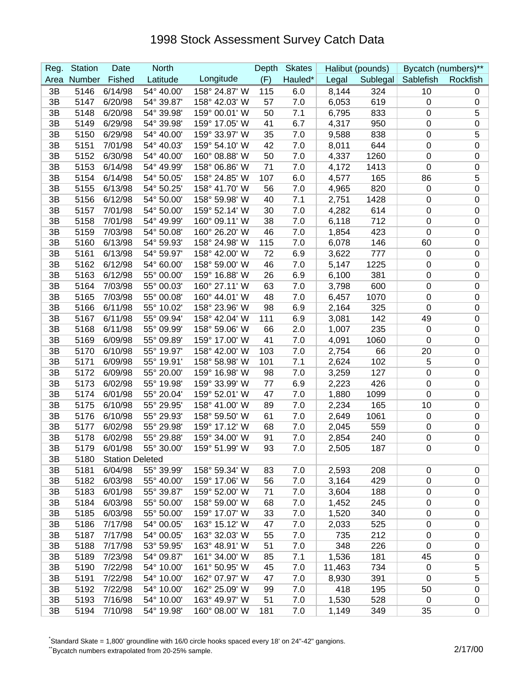| Reg. | <b>Station</b> | Date                   | <b>North</b> |               | Depth | <b>Skates</b> |        | Halibut (pounds) |                  | Bycatch (numbers)** |
|------|----------------|------------------------|--------------|---------------|-------|---------------|--------|------------------|------------------|---------------------|
| Area | Number         | Fished                 | Latitude     | Longitude     | (F)   | Hauled*       | Legal  | Sublegal         | Sablefish        | Rockfish            |
| 3B   | 5146           | 6/14/98                | 54° 40.00'   | 158° 24.87' W | 115   | 6.0           | 8,144  | 324              | 10               | 0                   |
| 3B   | 5147           | 6/20/98                | 54° 39.87'   | 158° 42.03' W | 57    | 7.0           | 6,053  | 619              | $\mathbf 0$      | $\mathbf 0$         |
| 3B   | 5148           | 6/20/98                | 54° 39.98'   | 159° 00.01' W | 50    | 7.1           | 6,795  | 833              | 0                | 5                   |
| 3B   | 5149           | 6/29/98                | 54° 39.98'   | 159° 17.05' W | 41    | 6.7           | 4,317  | 950              | 0                | $\pmb{0}$           |
| 3B   | 5150           | 6/29/98                | 54° 40.00'   | 159° 33.97' W | 35    | 7.0           | 9,588  | 838              | 0                | 5                   |
| 3B   | 5151           | 7/01/98                | 54° 40.03'   | 159° 54.10' W | 42    | 7.0           | 8,011  | 644              | 0                | $\mathbf 0$         |
| 3B   | 5152           | 6/30/98                | 54° 40.00'   | 160° 08.88' W | 50    | 7.0           | 4,337  | 1260             | 0                | $\mathbf 0$         |
| 3B   | 5153           | 6/14/98                | 54° 49.99'   | 158° 06.86' W | 71    | 7.0           | 4,172  | 1413             | 0                | $\mathbf 0$         |
| 3B   | 5154           | 6/14/98                | 54° 50.05'   | 158° 24.85' W | 107   | 6.0           | 4,577  | 165              | 86               | 5                   |
| 3B   | 5155           | 6/13/98                | 54° 50.25'   | 158° 41.70' W | 56    | 7.0           | 4,965  | 820              | $\mathbf 0$      | $\mathbf 0$         |
| 3B   | 5156           | 6/12/98                | 54° 50.00'   | 158° 59.98' W | 40    | 7.1           | 2,751  | 1428             | 0                | $\boldsymbol{0}$    |
| 3B   | 5157           | 7/01/98                | 54° 50.00'   | 159° 52.14' W | 30    | 7.0           | 4,282  | 614              | 0                | $\mathbf 0$         |
| 3B   | 5158           | 7/01/98                | 54° 49.99'   | 160° 09.11' W | 38    | 7.0           | 6,118  | 712              | 0                | $\mathbf 0$         |
| 3B   | 5159           | 7/03/98                | 54° 50.08'   | 160° 26.20' W | 46    | 7.0           | 1,854  | 423              | 0                | $\mathbf 0$         |
| 3B   | 5160           | 6/13/98                | 54° 59.93'   | 158° 24.98' W | 115   | 7.0           | 6,078  | 146              | 60               | $\pmb{0}$           |
| 3B   | 5161           | 6/13/98                | 54° 59.97'   | 158° 42.00' W | 72    | 6.9           | 3,622  | 777              | $\mathbf 0$      | $\pmb{0}$           |
| 3B   | 5162           | 6/12/98                | 54° 60.00    | 158° 59.00' W | 46    | 7.0           | 5,147  | 1225             | 0                | $\pmb{0}$           |
| 3B   | 5163           | 6/12/98                | 55° 00.00    | 159° 16.88' W | 26    | 6.9           | 6,100  | 381              | 0                | $\mathbf 0$         |
| 3B   | 5164           | 7/03/98                | 55° 00.03'   | 160° 27.11' W | 63    | 7.0           | 3,798  | 600              | $\mathbf 0$      | $\mathbf 0$         |
| 3B   | 5165           | 7/03/98                | 55° 00.08'   | 160° 44.01' W | 48    | 7.0           | 6,457  | 1070             | 0                | $\mathbf 0$         |
| 3B   | 5166           | 6/11/98                | 55° 10.02'   | 158° 23.96' W | 98    | 6.9           | 2,164  | 325              | 0                | $\mathbf 0$         |
| 3B   | 5167           | 6/11/98                | 55° 09.94'   | 158° 42.04' W | 111   | 6.9           | 3,081  | 142              | 49               | $\mathbf 0$         |
| 3B   | 5168           | 6/11/98                | 55° 09.99'   | 158° 59.06' W | 66    | 2.0           | 1,007  | 235              | $\mathbf 0$      | $\mathbf 0$         |
| 3B   | 5169           | 6/09/98                | 55° 09.89'   | 159° 17.00' W | 41    | 7.0           | 4,091  | 1060             | $\mathbf 0$      | $\boldsymbol{0}$    |
| 3B   | 5170           | 6/10/98                | 55° 19.97'   | 158° 42.00' W | 103   | 7.0           | 2,754  | 66               | 20               | $\mathbf 0$         |
| 3B   | 5171           | 6/09/98                | 55° 19.91'   | 158° 58.98' W | 101   | 7.1           | 2,624  | 102              | 5                | $\mathbf 0$         |
| 3B   | 5172           | 6/09/98                | 55° 20.00'   | 159° 16.98' W | 98    | 7.0           | 3,259  | 127              | 0                | $\mathbf 0$         |
| 3B   | 5173           | 6/02/98                | 55° 19.98'   | 159° 33.99' W | 77    | 6.9           | 2,223  | 426              | 0                | $\pmb{0}$           |
| 3B   | 5174           | 6/01/98                | 55° 20.04'   | 159° 52.01' W | 47    | 7.0           | 1,880  | 1099             | 0                | $\pmb{0}$           |
| 3B   | 5175           | 6/10/98                | 55° 29.95'   | 158° 41.00' W | 89    | 7.0           | 2,234  | 165              | 10               | $\pmb{0}$           |
| 3B   | 5176           | 6/10/98                | 55° 29.93'   | 158° 59.50' W | 61    | 7.0           | 2,649  | 1061             | 0                | $\mathbf 0$         |
| 3B   | 5177           | 6/02/98                | 55° 29.98'   | 159° 17.12' W | 68    | 7.0           | 2,045  | 559              | 0                | $\mathbf 0$         |
| 3B   | 5178           | 6/02/98                | 55° 29.88'   | 159° 34.00' W | 91    | 7.0           | 2,854  | 240              | 0                | $\mathbf 0$         |
| 3B   | 5179           | 6/01/98                | 55° 30.00'   | 159° 51.99' W | 93    | 7.0           | 2,505  | 187              | 0                | $\Omega$            |
| 3B   | 5180           | <b>Station Deleted</b> |              |               |       |               |        |                  |                  |                     |
| 3B   | 5181           | 6/04/98                | 55° 39.99'   | 158° 59.34' W | 83    | 7.0           | 2,593  | 208              | 0                | $\pmb{0}$           |
| 3B   | 5182           | 6/03/98                | 55° 40.00'   | 159° 17.06' W | 56    | 7.0           | 3,164  | 429              | $\boldsymbol{0}$ | $\pmb{0}$           |
| 3B   | 5183           | 6/01/98                | 55° 39.87'   | 159° 52.00' W | 71    | 7.0           | 3,604  | 188              | 0                | $\pmb{0}$           |
| 3B   | 5184           | 6/03/98                | 55° 50.00'   | 158° 59.00' W | 68    | 7.0           | 1,452  | 245              | 0                | $\pmb{0}$           |
| 3B   | 5185           | 6/03/98                | 55° 50.00'   | 159° 17.07' W | 33    | 7.0           | 1,520  | 340              | $\boldsymbol{0}$ | $\pmb{0}$           |
| 3B   | 5186           | 7/17/98                | 54° 00.05'   | 163° 15.12' W | 47    | 7.0           | 2,033  | 525              | $\boldsymbol{0}$ | $\pmb{0}$           |
| 3B   | 5187           | 7/17/98                | 54° 00.05'   | 163° 32.03' W | 55    | 7.0           | 735    | 212              | 0                | 0                   |
| 3B   | 5188           | 7/17/98                | 53° 59.95'   | 163° 48.91' W | 51    | 7.0           | 348    | 226              | $\boldsymbol{0}$ | $\pmb{0}$           |
| 3B   | 5189           | 7/23/98                | 54° 09.87'   | 161° 34.00' W | 85    | 7.1           | 1,536  | 181              | 45               | $\pmb{0}$           |
| 3B   | 5190           | 7/22/98                | 54° 10.00'   | 161° 50.95' W | 45    | 7.0           | 11,463 | 734              | $\mathbf 0$      | 5                   |
| 3B   | 5191           | 7/22/98                | 54° 10.00'   | 162° 07.97' W | 47    | 7.0           | 8,930  | 391              | $\mathbf 0$      | 5                   |
| 3B   | 5192           | 7/22/98                | 54° 10.00'   | 162° 25.09' W | 99    | 7.0           | 418    | 195              | 50               | $\pmb{0}$           |
| 3B   | 5193           | 7/16/98                | 54° 10.00'   | 163° 49.97' W | 51    | 7.0           | 1,530  | 528              | $\mathbf 0$      | 0                   |
| 3B   | 5194           | 7/10/98                | 54° 19.98'   | 160° 08.00' W | 181   | 7.0           | 1,149  | 349              | 35               | $\pmb{0}$           |

\* Standard Skate = 1,800' groundline with 16/0 circle hooks spaced every 18' on 24"-42" gangions.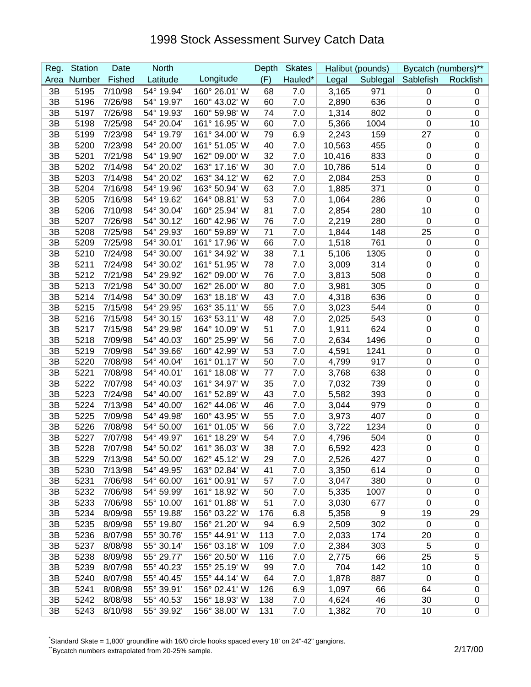| Reg. | <b>Station</b> | Date    | <b>North</b> |               | Depth | <b>Skates</b> |        | Halibut (pounds) |                | Bycatch (numbers)** |
|------|----------------|---------|--------------|---------------|-------|---------------|--------|------------------|----------------|---------------------|
| Area | Number         | Fished  | Latitude     | Longitude     | (F)   | Hauled*       | Legal  | Sublegal         | Sablefish      | Rockfish            |
| 3B   | 5195           | 7/10/98 | 54° 19.94'   | 160° 26.01' W | 68    | 7.0           | 3,165  | 971              | 0              | 0                   |
| 3B   | 5196           | 7/26/98 | 54° 19.97'   | 160° 43.02' W | 60    | 7.0           | 2,890  | 636              | 0              | $\mathbf 0$         |
| 3B   | 5197           | 7/26/98 | 54° 19.93'   | 160° 59.98' W | 74    | 7.0           | 1,314  | 802              | 0              | 0                   |
| 3B   | 5198           | 7/25/98 | 54° 20.04'   | 161° 16.95' W | 60    | 7.0           | 5,366  | 1004             | $\mathbf 0$    | 10                  |
| 3B   | 5199           | 7/23/98 | 54° 19.79'   | 161° 34.00' W | 79    | 6.9           | 2,243  | 159              | 27             | $\mathbf 0$         |
| 3B   | 5200           | 7/23/98 | 54° 20.00'   | 161° 51.05' W | 40    | 7.0           | 10,563 | 455              | $\mathbf 0$    | $\mathbf 0$         |
| 3B   | 5201           | 7/21/98 | 54° 19.90'   | 162° 09.00' W | 32    | 7.0           | 10,416 | 833              | 0              | $\mathbf 0$         |
| 3B   | 5202           | 7/14/98 | 54° 20.02'   | 163° 17.16' W | 30    | 7.0           | 10,786 | 514              | 0              | $\mathbf 0$         |
| 3B   | 5203           | 7/14/98 | 54° 20.02'   | 163° 34.12' W | 62    | 7.0           | 2,084  | 253              | 0              | $\mathbf 0$         |
| 3B   | 5204           | 7/16/98 | 54° 19.96'   | 163° 50.94' W | 63    | 7.0           | 1,885  | 371              | 0              | $\mathbf 0$         |
| 3B   | 5205           | 7/16/98 | 54° 19.62'   | 164° 08.81' W | 53    | 7.0           | 1,064  | 286              | $\mathbf 0$    | $\boldsymbol{0}$    |
| 3B   | 5206           | 7/10/98 | 54° 30.04'   | 160° 25.94' W | 81    | 7.0           | 2,854  | 280              | 10             | $\mathbf 0$         |
| 3B   | 5207           | 7/26/98 | 54° 30.12'   | 160° 42.96' W | 76    | 7.0           | 2,219  | 280              | $\mathbf 0$    | $\mathbf 0$         |
| 3B   | 5208           | 7/25/98 | 54° 29.93'   | 160° 59.89' W | 71    | 7.0           | 1,844  | 148              | 25             | $\mathbf 0$         |
| 3B   | 5209           | 7/25/98 | 54° 30.01'   | 161° 17.96' W | 66    | 7.0           | 1,518  | 761              | $\mathbf 0$    | $\pmb{0}$           |
| 3B   | 5210           | 7/24/98 | 54° 30.00'   | 161° 34.92' W | 38    | 7.1           | 5,106  | 1305             | 0              | $\pmb{0}$           |
| 3B   | 5211           | 7/24/98 | 54° 30.02'   | 161° 51.95' W | 78    | 7.0           | 3,009  | 314              | 0              | $\pmb{0}$           |
| 3B   | 5212           | 7/21/98 | 54° 29.92'   | 162° 09.00' W | 76    | 7.0           | 3,813  | 508              | 0              | $\mathbf 0$         |
| 3B   | 5213           | 7/21/98 | 54° 30.00'   | 162° 26.00' W | 80    | 7.0           | 3,981  | 305              | $\mathbf 0$    | $\mathbf 0$         |
| 3B   | 5214           | 7/14/98 | 54° 30.09'   | 163° 18.18' W | 43    | 7.0           | 4,318  | 636              | 0              | $\mathbf 0$         |
| 3B   | 5215           | 7/15/98 | 54° 29.95'   | 163° 35.11' W | 55    | 7.0           | 3,023  | 544              | 0              | $\mathbf 0$         |
| 3B   | 5216           | 7/15/98 | 54° 30.15'   | 163° 53.11' W | 48    | 7.0           | 2,025  | 543              | $\mathbf 0$    | $\mathbf 0$         |
| 3B   | 5217           | 7/15/98 | 54° 29.98'   | 164° 10.09' W | 51    | 7.0           | 1,911  | 624              | 0              | $\mathbf 0$         |
| 3B   | 5218           | 7/09/98 | 54° 40.03'   | 160° 25.99' W | 56    | 7.0           | 2,634  | 1496             | $\mathbf 0$    | $\pmb{0}$           |
| 3B   | 5219           | 7/09/98 | 54° 39.66'   | 160° 42.99' W | 53    | 7.0           | 4,591  | 1241             | 0              | $\mathbf 0$         |
| 3B   | 5220           | 7/08/98 | 54° 40.04'   | 161° 01.17' W | 50    | 7.0           | 4,799  | 917              | 0              | $\mathbf 0$         |
| 3B   | 5221           | 7/08/98 | 54° 40.01'   | 161° 18.08' W | 77    | 7.0           | 3,768  | 638              | 0              | $\mathbf 0$         |
| 3B   | 5222           | 7/07/98 | 54° 40.03'   | 161° 34.97' W | 35    | 7.0           | 7,032  | 739              | 0              | $\pmb{0}$           |
| 3B   | 5223           | 7/24/98 | 54° 40.00'   | 161° 52.89' W | 43    | 7.0           | 5,582  | 393              | 0              | $\pmb{0}$           |
| 3B   | 5224           | 7/13/98 | 54° 40.00    | 162° 44.06' W | 46    | 7.0           | 3,044  | 979              | 0              | $\pmb{0}$           |
| 3B   | 5225           | 7/09/98 | 54° 49.98'   | 160° 43.95' W | 55    | 7.0           | 3,973  | 407              | 0              | $\mathbf 0$         |
| 3B   | 5226           | 7/08/98 | 54° 50.00'   | 161° 01.05' W | 56    | 7.0           | 3,722  | 1234             | 0              | $\mathbf 0$         |
| 3B   | 5227           | 7/07/98 | 54° 49.97'   | 161° 18.29' W | 54    | 7.0           | 4,796  | 504              | 0              | $\mathbf 0$         |
| 3B   | 5228           | 7/07/98 | 54° 50.02'   | 161° 36.03' W | 38    | 7.0           | 6,592  | 423              | 0              | $\Omega$            |
| 3B   | 5229           | 7/13/98 | 54° 50.00'   | 162° 45.12' W | 29    | 7.0           | 2,526  | 427              | 0              | 0                   |
| 3B   | 5230           | 7/13/98 | 54° 49.95'   | 163° 02.84' W | 41    | 7.0           | 3,350  | 614              | $\pmb{0}$      | 0                   |
| 3B   | 5231           | 7/06/98 | 54° 60.00'   | 161° 00.91' W | 57    | 7.0           | 3,047  | 380              | $\pmb{0}$      | $\mathbf 0$         |
| 3B   | 5232           | 7/06/98 | 54° 59.99'   | 161° 18.92' W | 50    | 7.0           | 5,335  | 1007             | $\pmb{0}$      | $\mathbf 0$         |
| 3B   | 5233           | 7/06/98 | 55° 10.00'   | 161° 01.88' W | 51    | 7.0           | 3,030  | 677              | $\pmb{0}$      | $\pmb{0}$           |
| 3B   | 5234           | 8/09/98 | 55° 19.88'   | 156° 03.22' W | 176   | 6.8           | 5,358  | 9                | 19             | 29                  |
| 3B   | 5235           | 8/09/98 | 55° 19.80'   | 156° 21.20' W | 94    | 6.9           | 2,509  | 302              | $\mathbf 0$    | 0                   |
| 3B   | 5236           | 8/07/98 | 55° 30.76'   | 155° 44.91' W | 113   | 7.0           | 2,033  | 174              | 20             | 0                   |
| 3B   | 5237           | 8/08/98 | 55° 30.14'   | 156° 03.18' W | 109   | 7.0           | 2,384  | 303              | 5              | $\pmb{0}$           |
| 3B   | 5238           | 8/09/98 | 55° 29.77'   | 156° 20.50' W | 116   | 7.0           | 2,775  | 66               | 25             | 5                   |
| 3B   | 5239           | 8/07/98 | 55° 40.23'   | 155° 25.19' W | 99    | 7.0           | 704    | 142              | 10             | 0                   |
| 3B   | 5240           | 8/07/98 | 55° 40.45'   | 155° 44.14' W | 64    | 7.0           | 1,878  | 887              | $\overline{0}$ | $\pmb{0}$           |
| 3B   | 5241           | 8/08/98 | 55° 39.91'   | 156° 02.41' W | 126   | 6.9           | 1,097  | 66               | 64             | 0                   |
| 3B   | 5242           | 8/08/98 | 55° 40.53'   | 156° 18.93' W | 138   | 7.0           | 4,624  | 46               | 30             | 0                   |
| 3B   | 5243           | 8/10/98 | 55° 39.92'   | 156° 38.00' W | 131   | 7.0           | 1,382  | 70               | 10             | 0                   |

\* Standard Skate = 1,800' groundline with 16/0 circle hooks spaced every 18' on 24"-42" gangions.